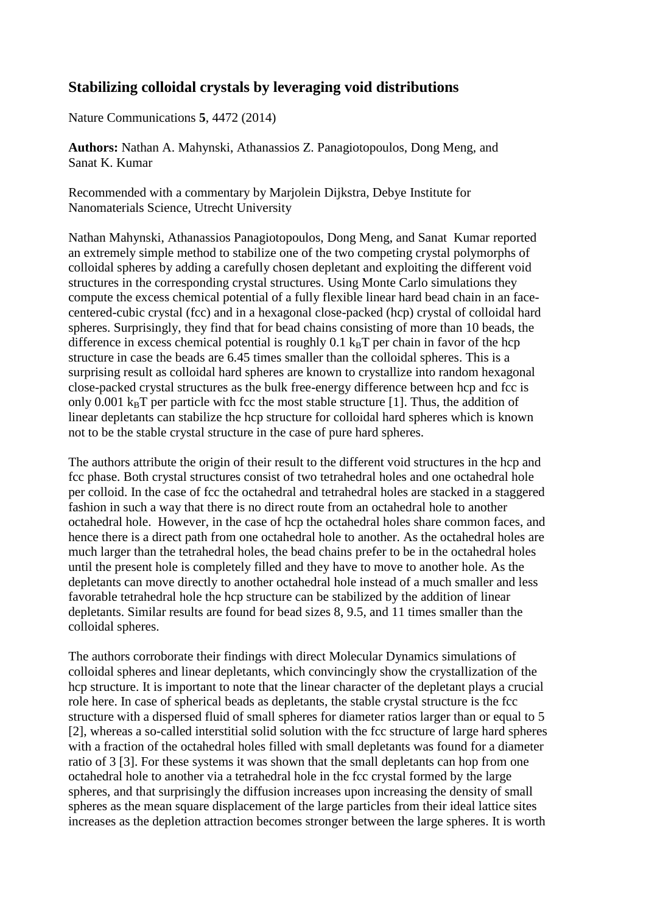## **Stabilizing colloidal crystals by leveraging void distributions**

Nature Communications **5**, 4472 (2014)

**Authors:** Nathan A. Mahynski, Athanassios Z. Panagiotopoulos, Dong Meng, and Sanat K. Kumar

Recommended with a commentary by Marjolein Dijkstra, Debye Institute for Nanomaterials Science, Utrecht University

Nathan Mahynski, Athanassios Panagiotopoulos, Dong Meng, and Sanat Kumar reported an extremely simple method to stabilize one of the two competing crystal polymorphs of colloidal spheres by adding a carefully chosen depletant and exploiting the different void structures in the corresponding crystal structures. Using Monte Carlo simulations they compute the excess chemical potential of a fully flexible linear hard bead chain in an facecentered-cubic crystal (fcc) and in a hexagonal close-packed (hcp) crystal of colloidal hard spheres. Surprisingly, they find that for bead chains consisting of more than 10 beads, the difference in excess chemical potential is roughly  $0.1 \text{ kgT}$  per chain in favor of the hcp structure in case the beads are 6.45 times smaller than the colloidal spheres. This is a surprising result as colloidal hard spheres are known to crystallize into random hexagonal close-packed crystal structures as the bulk free-energy difference between hcp and fcc is only 0.001  $k_BT$  per particle with fcc the most stable structure [1]. Thus, the addition of linear depletants can stabilize the hcp structure for colloidal hard spheres which is known not to be the stable crystal structure in the case of pure hard spheres.

The authors attribute the origin of their result to the different void structures in the hcp and fcc phase. Both crystal structures consist of two tetrahedral holes and one octahedral hole per colloid. In the case of fcc the octahedral and tetrahedral holes are stacked in a staggered fashion in such a way that there is no direct route from an octahedral hole to another octahedral hole. However, in the case of hcp the octahedral holes share common faces, and hence there is a direct path from one octahedral hole to another. As the octahedral holes are much larger than the tetrahedral holes, the bead chains prefer to be in the octahedral holes until the present hole is completely filled and they have to move to another hole. As the depletants can move directly to another octahedral hole instead of a much smaller and less favorable tetrahedral hole the hcp structure can be stabilized by the addition of linear depletants. Similar results are found for bead sizes 8, 9.5, and 11 times smaller than the colloidal spheres.

The authors corroborate their findings with direct Molecular Dynamics simulations of colloidal spheres and linear depletants, which convincingly show the crystallization of the hcp structure. It is important to note that the linear character of the depletant plays a crucial role here. In case of spherical beads as depletants, the stable crystal structure is the fcc structure with a dispersed fluid of small spheres for diameter ratios larger than or equal to 5 [2], whereas a so-called interstitial solid solution with the fcc structure of large hard spheres with a fraction of the octahedral holes filled with small depletants was found for a diameter ratio of 3 [3]. For these systems it was shown that the small depletants can hop from one octahedral hole to another via a tetrahedral hole in the fcc crystal formed by the large spheres, and that surprisingly the diffusion increases upon increasing the density of small spheres as the mean square displacement of the large particles from their ideal lattice sites increases as the depletion attraction becomes stronger between the large spheres. It is worth